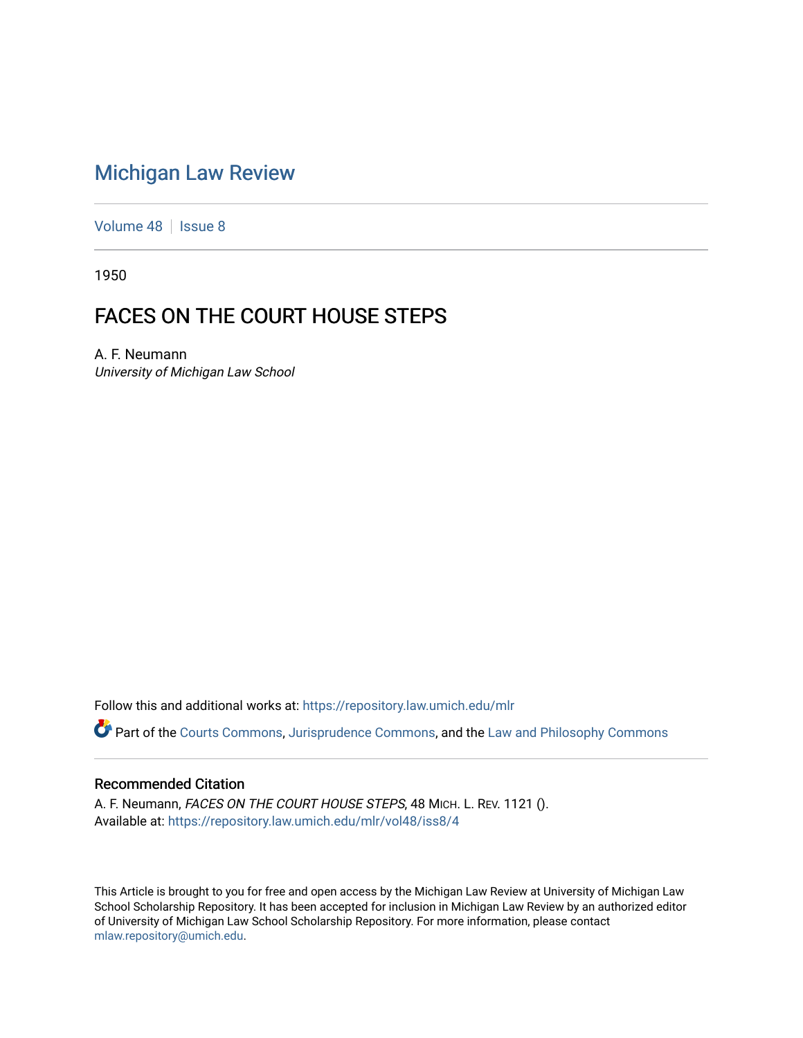# [Michigan Law Review](https://repository.law.umich.edu/mlr)

[Volume 48](https://repository.law.umich.edu/mlr/vol48) | [Issue 8](https://repository.law.umich.edu/mlr/vol48/iss8)

1950

# FACES ON THE COURT HOUSE STEPS

A. F. Neumann University of Michigan Law School

Follow this and additional works at: [https://repository.law.umich.edu/mlr](https://repository.law.umich.edu/mlr?utm_source=repository.law.umich.edu%2Fmlr%2Fvol48%2Fiss8%2F4&utm_medium=PDF&utm_campaign=PDFCoverPages) 

Part of the [Courts Commons,](http://network.bepress.com/hgg/discipline/839?utm_source=repository.law.umich.edu%2Fmlr%2Fvol48%2Fiss8%2F4&utm_medium=PDF&utm_campaign=PDFCoverPages) [Jurisprudence Commons](http://network.bepress.com/hgg/discipline/610?utm_source=repository.law.umich.edu%2Fmlr%2Fvol48%2Fiss8%2F4&utm_medium=PDF&utm_campaign=PDFCoverPages), and the [Law and Philosophy Commons](http://network.bepress.com/hgg/discipline/1299?utm_source=repository.law.umich.edu%2Fmlr%2Fvol48%2Fiss8%2F4&utm_medium=PDF&utm_campaign=PDFCoverPages) 

#### Recommended Citation

A. F. Neumann, FACES ON THE COURT HOUSE STEPS, 48 MICH. L. REV. 1121 (). Available at: [https://repository.law.umich.edu/mlr/vol48/iss8/4](https://repository.law.umich.edu/mlr/vol48/iss8/4?utm_source=repository.law.umich.edu%2Fmlr%2Fvol48%2Fiss8%2F4&utm_medium=PDF&utm_campaign=PDFCoverPages)

This Article is brought to you for free and open access by the Michigan Law Review at University of Michigan Law School Scholarship Repository. It has been accepted for inclusion in Michigan Law Review by an authorized editor of University of Michigan Law School Scholarship Repository. For more information, please contact [mlaw.repository@umich.edu.](mailto:mlaw.repository@umich.edu)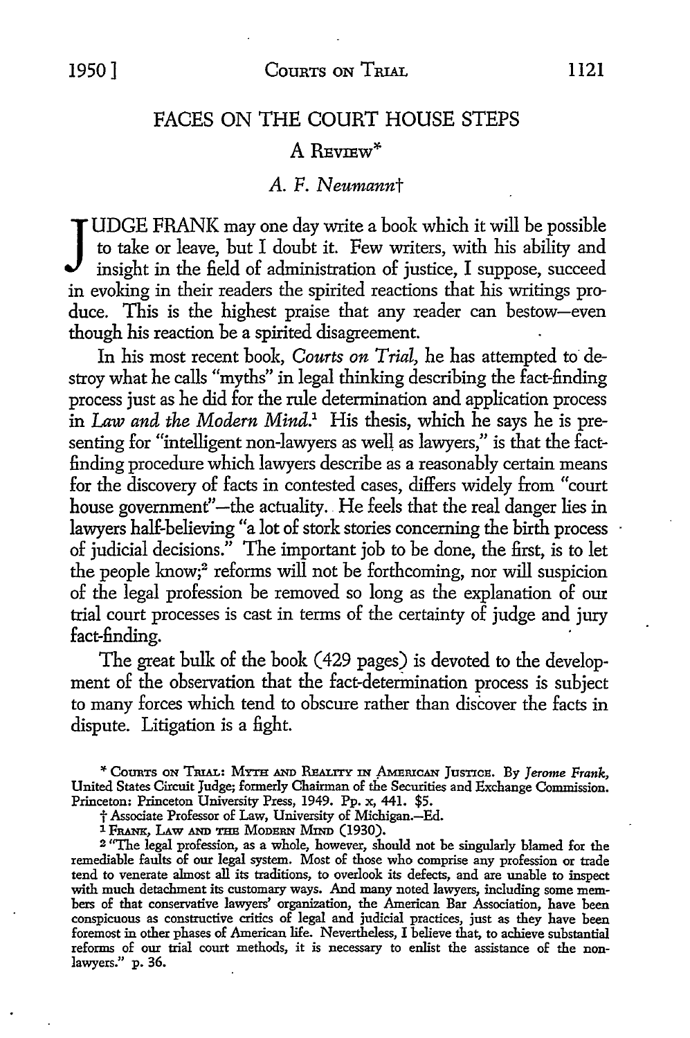## FACES ON THE COURT HOUSE STEPS

#### A REVIEW\*

#### A. F. *Neumannt*

JUDGE FRANK may one day write a book which it will be possible<br>to take or leave, but I doubt it. Few writers, with his ability and<br>insight in the field of administration of justice, I suppose, succeed to take or leave, but I doubt it. Few writers, with his ability and insight in the field of administration of justice, I suppose, succeed in evoking in their readers the spirited reactions that his writings produce. This is the highest praise that any reader can bestow-even though his reaction be a spirited disagreement.

In his most recent book, *Courts on Trial*, he has attempted to destroy what he calls "myths" in legal thinking describing the fact-finding process just as he did for the rule determination and application process in Law *and the Modern Mind.1* His thesis, which he says he is presenting for "intelligent non-lawyers as well as lawyers," is that the factfinding procedure which lawyers describe as a reasonably certain means for the discovery of facts in contested cases, differs widely from "court house government"—the actuality. He feels that the real danger lies in lawyers half-believing "a lot of stork stories concerning the birth process of judicial decisions." The important job to be done, the first, is to let the people know;<sup>2</sup> reforms will not be forthcoming, nor will suspicion of the legal profession be removed so long as the explanation of our trial court processes is cast in terms of the certainty of judge and jury fact-finding.

The great bulk of the book (429 pages) is devoted to the development of the observation that the fact-determination process is subject to many forces which tend to obscure rather than discover the facts in dispute. Litigation is a fight.

\* CounTs ON TRIAL: MYTH AND REALITY IN ,AMERICAN Jusnc:a. By *Jerome Frank,*  United States Circuit Judge; formerly Chairman of the Securities and Exchange Commission. Princeton: Princeton University Press, 1949. Pp. x, 441. \$5.

t Associate Professor of Law, University of Michigan.-Ed.

<sup>1</sup> FRANK, LAW AND THE MODERN MIND (1930).

<sup>2</sup>''The legal profession, as a whole, however, should not be singularly blamed for the remediable faults of our legal system. Most of those who comprise any profession or trade tend to venerate almost all its traditions, to overlook its defects, and are unable to inspect with much detachment its customary ways. And many noted lawyers, including some members of that conservative lawyers' organization, the American Bar Association, have been conspicuous as constructive critics of legal and judicial practices, just as they have been foremost in other phases of American life. Nevertheless, I believe that, to achieve substantial reforms of our trial court methods, it is necessary to enlist the assistance of the nonlawyers." p. 36.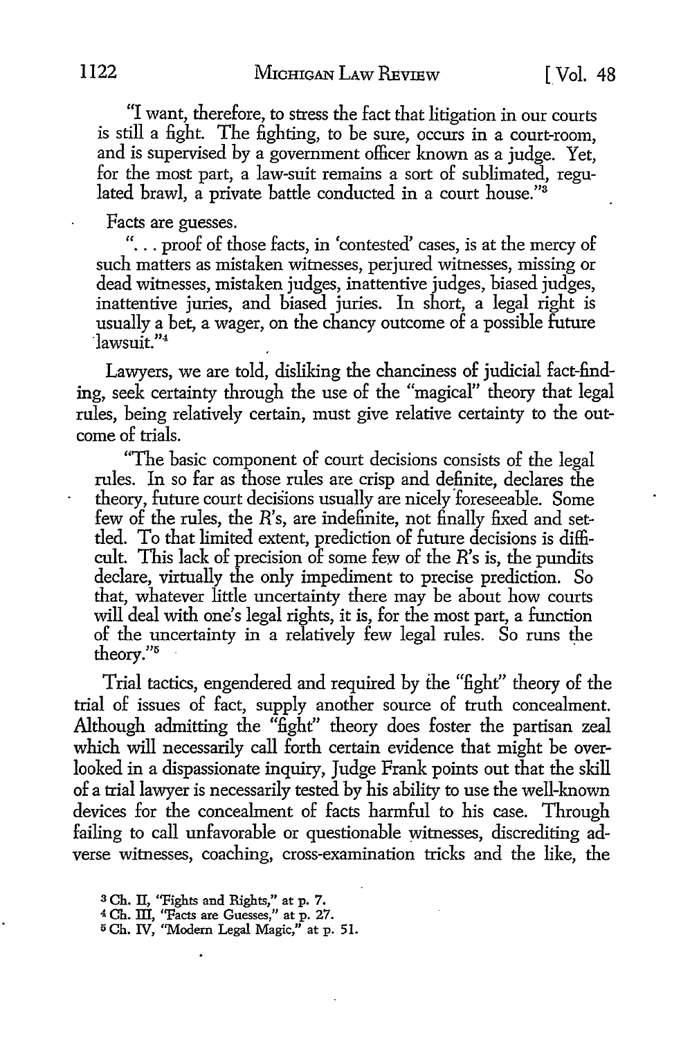"I want, therefore, to stress the fact that litigation in our courts is still a fight. The fighting, to be sure, occurs in a court-room, and is supervised by a government officer known as a judge. Yet, for the most part, a law-suit remains a sort of sublimated, regulated brawl, a private battle conducted in a court house."<sup>3</sup>

Facts are guesses.

"... proof of those facts, in 'contested' cases, is at the mercy of such matters as mistaken witnesses, perjured witnesses, missing or dead witnesses, mistaken judges, inattentive judges, biased judges, inattentive juries, and biased juries. In short, a legal right is usually a bet, a wager, on the chancy outcome of a possible future ·lawsuit."<sup>4</sup>

Lawyers, we are told, disliking the chanciness of judicial fact-finding, seek certainty through the use of the "magical" theory that legal rules, being relatively certain, must give relative certainty to the outcome of trials.

"The basic component of court decisions consists of the legal rules. In so far as those rules are crisp and definite, declares the theory, future court decisions usually are nicely 'foreseeable. Some few of the rules, the  $R$ 's, are indefinite, not finally fixed and settled. To that limited extent, prediction of future decisions is difficult. This lack of precision of some few of the *R*'s is, the pundits declare, virtually the only impediment to precise prediction. So that, whatever little uncertainty there may be about how courts will deal with one's legal rights, it is, for the most part, a function of the uncertainty in a relatively few legal rules. So runs the theory."<sup>5</sup>

Trial tactics, engendered and required by the "fight" theory of the trial of issues of fact, supply another source of truth concealment. Although admitting the " $\hat{f}$ ight" theory does foster the partisan zeal which will necessarily call forth certain evidence that might be overlooked in a dispassionate inquiry, Judge Frank points out that the skill of a trial lawyer is necessarily tested by his ability to use the well-known devices for the concealment of facts harmful to his case. Through failing to call unfavorable or questionable witnesses, discrediting adverse witnesses, coaching, cross-examination tricks and the like, the

<sup>3</sup>Ch. II, "Fights and Rights," at p. 7.

<sup>4</sup>Ch. III, ''Facts are Guesses," at p. 27.

<sup>5</sup> Ch. IV, ''Modem Legal Magic," at p. 51.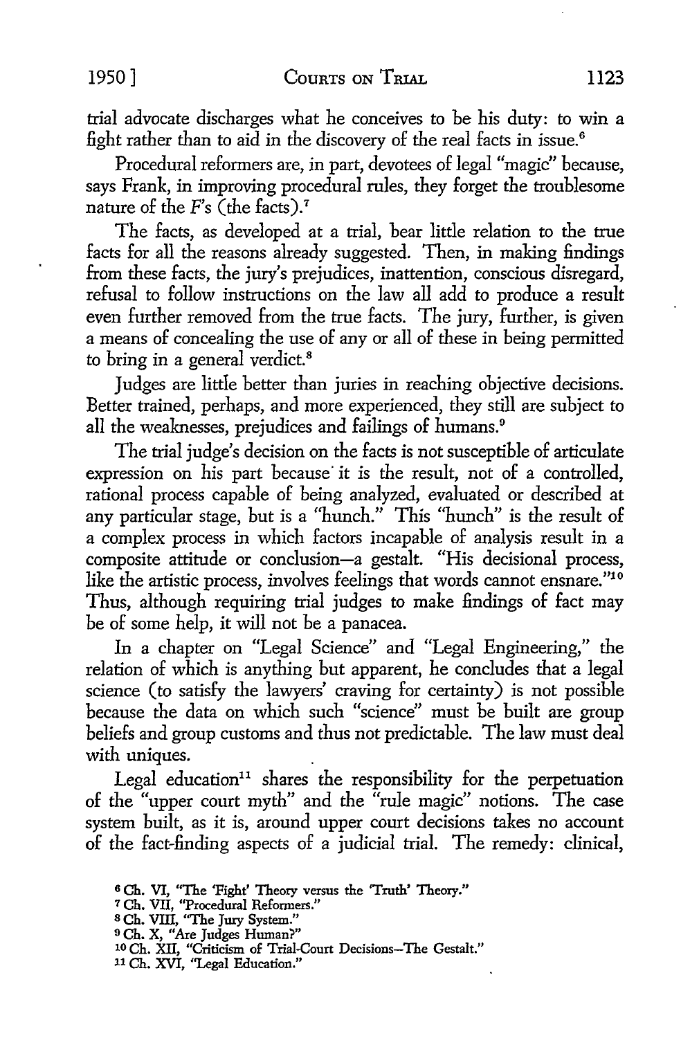trial advocate discharges what he conceives *to* be his duty: *to* win a fight rather than *to* aid in the discovery of the real facts in issue. <sup>6</sup>

Procedural reformers are, in part, devotees of legal "magic" because, says Frank, in improving procedural rules, they forget the troublesome nature of the  $F$ 's (the facts).<sup>7</sup>

The facts, as developed at a trial, bear little relation *to* the true facts for all the reasons already suggested. Then, in making findings from these facts, the jury's prejudices, inattention, conscious disregard, refusal *to* follow instructions on the law all add *to* produce a result even further removed from the true facts. The jury, further, is given a means of concealing the use of any or all of these in being permitted to bring in a general verdict.<sup>8</sup>

Judges are little better than juries in reaching objective decisions. Better trained, perhaps, and more experienced, they still are subject *to*  all the weaknesses, prejudices and failings of humans. <sup>9</sup>

The trial judge's decision on the facts is not susceptible of articulate expression on his part because it is the result, not of a controlled, rational process capable of being analyzed, evaluated or described at any particular stage, but is a "hunch." This "hunch" is the result of a complex process in which factors incapable of analysis result in a composite attitude or conclusion-a gestalt. "His decisional process, like the artistic process, involves feelings that words cannot ensnare."<sup>10</sup> Thus, although requiring trial judges to make findings of fact may be of some help, it will not be a panacea.

In a chapter on "Legal Science" and "Legal Engineering," the relation of which is anything but apparent, he concludes that a legal science (to satisfy the lawyers' craving for certainty) is *not* possible because the data on which such "science" must be built are group beliefs and group customs and thus not predictable. The law must deal with uniques.

Legal education<sup>11</sup> shares the responsibility for the perpetuation of the "upper court myth" and the "rule magic" notions. The case system built, as it is, around upper court decisions takes no account of the fact-finding aspects of a judicial trial. The remedy: clinical,

- <sup>7</sup>Ch. VII, "Procedural Reformers."
- s Ch. VIII, "The Jury System."
- <sup>9</sup>Ch. X, "Are Judges Human?"

11 Ch. XVI, "Legal Education."

<sup>6</sup>Ch. VI, "The 'Fight' Theory versus the 'Truth' Theory."

<sup>10</sup> Ch. XII, "Criticism of Trial-Court Decisions-The Gestalt."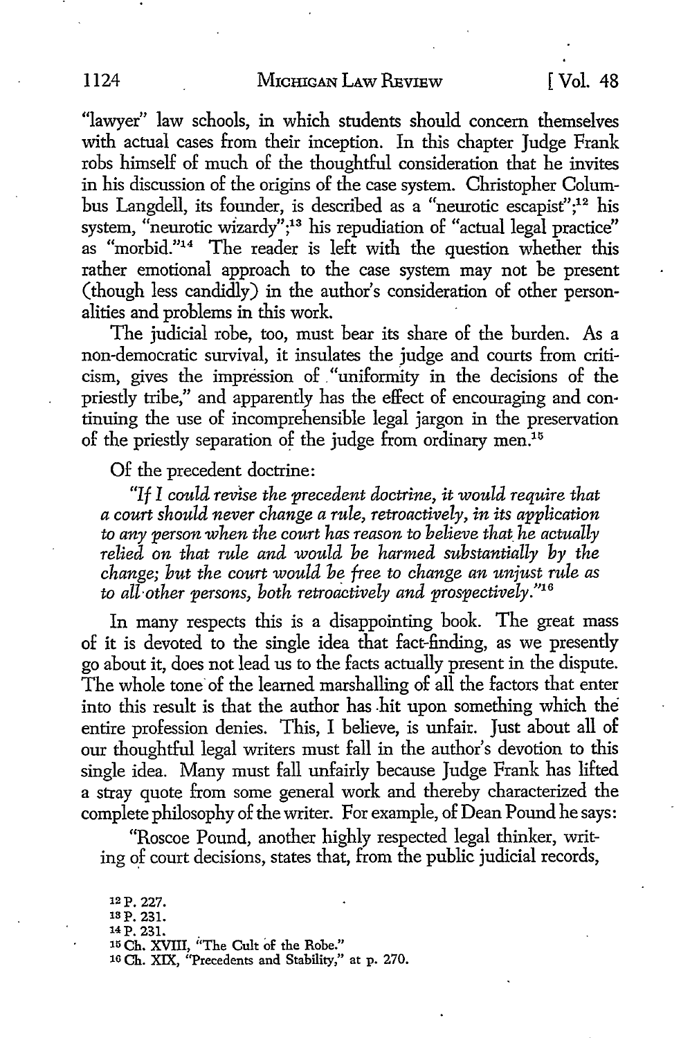### 1124 MICHIGAN LAW REVIEW [ Vol. 48

"lawyer" law schools, in which students should concern themselves with actual cases from their inception. In this chapter Judge Frank robs himself of much of the thoughtful consideration that he invites in his discussion of the origins of the case system. Christopher Columbus Langdell, its founder, is described as a "neurotic escapist";<sup>12</sup> his system, "neurotic wizardy";<sup>13</sup> his repudiation of "actual legal practice" as "morbid."14 The reader is left with the question whether this rather emotional approach to the case system may not be present (though less candidly) in the author's consideration of other personalities and problems in this work.

The judicial robe, too, must bear its share of the burden. As a non-democratic survival, it insulates the judge and courts from criticism, gives the impression of . "uniformity in the decisions of the priestly tribe," and apparently has the effect of encouraging and continuing the use of incomprehensible legal jargon in the preservation of the priestly separation of the judge from ordinary men.<sup>15</sup>

#### Of the precedent doctrine:

*"If I could revise the precedent doctrine, it would require that a court should never change a rule, retroactively, in its application to any person when the court has reason to believe that\_ he actually relied on that rule and would be harmed substantially by the change; hut the court would he free to change an unjust rule as to all-other persons, both retroactively and prospectively."16* 

In many respects this is a disappointing book. The great mass of it is devoted to the single idea that fact-finding, as we presently go about it, does not lead us to the facts actually present in the dispute. The whole tone of the learned marshalling of all the factors that enter into this result is that the author has hit upon something which the entire profession denies. This, I believe, is unfair. Just about all of our thoughtful legal writers must fall in the author's devotion to this single idea. Many must fall unfairly because Judge Frank has lifted a stray quote from some general work and thereby characterized the complete philosophy of the writer. For example, of Dean Pound he says:

"Roscoe Pound, another highly respected legal thinker, writing of court decisions, states that, from the public judicial records,

12p. 227. ISP. 231. <sup>14</sup> P. 231.<br><sup>15</sup> Ch. XVIII, "The Cult of the Robe." 16 Ch. XIX, "Precedents and Stability," at p. 270.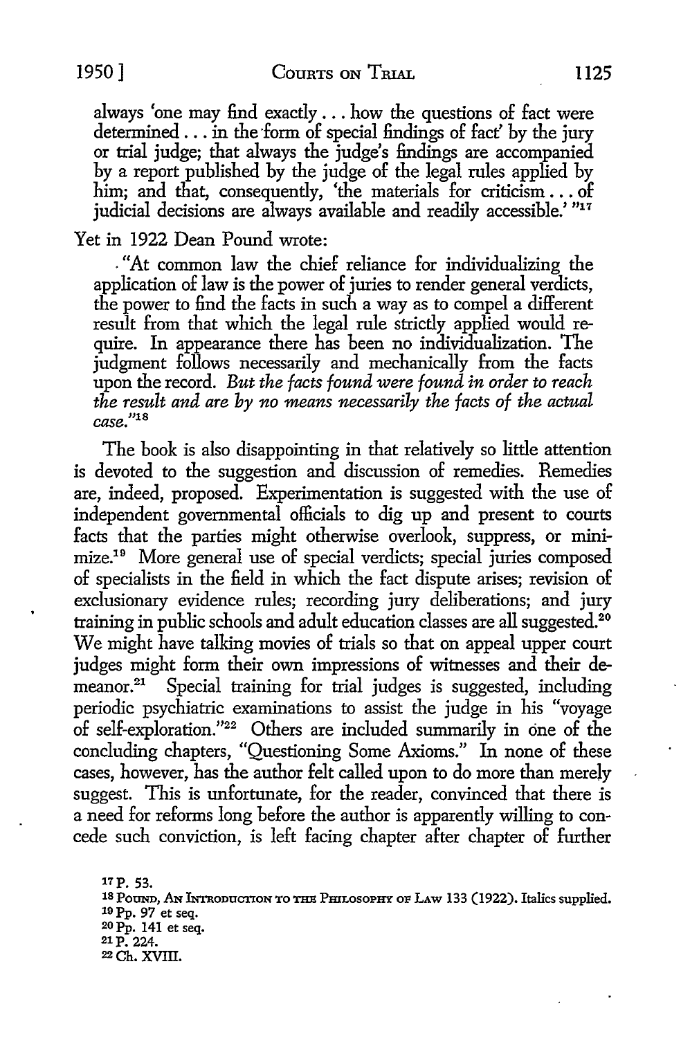always 'one may find exactly ... how the questions of fact were determined  $\ldots$  in the form of special findings of fact' by the jury or trial judge; that always the judge's findings are accompanied by a report published by the judge of the legal rules applied by him; and that, consequently, 'the materials for criticism ... of judicial decisions are always available and readily accessible.' "17

## Yet in 1922 Dean Pound wrote:

. "At common law the chief reliance for individualizing the application of law is the power of juries to render general verdicts, the power to find the facts in such a way as to compel a different result from that which the legal rule strictly applied would require. In appearance there has been no individualization. The judgment follows necessarily and mechanically from the facts upon the record. *But the facts found were found in order to reach the result and are by no means necessarily the facts of the actual*  case."18

The book is also disappointing in that relatively so little attention is devoted to the suggestion and discussion of remedies. Remedies are, indeed, proposed. Experimentation is suggested with the use of independent governmental officials to dig up and present to courts facts that the parties might otherwise overlook, suppress, or minimize.19 More general use of special verdicts; special juries composed of specialists in the field in which the fact dispute arises; revision of exclusionary evidence rules; recording jury deliberations; and jury training in public schools and adult education classes are all suggested.<sup>20</sup> We might have talking movies of trials so that on appeal upper court judges might form their own impressions of witnesses and their de-<br>meanor.<sup>21</sup> Special training for trial judges is suggested, including Special training for trial judges is suggested, including periodic psychiatric examinations to assist the judge in his "voyage of self-exploration."22 Others are included summarily in cine of the concluding chapters, "Questioning Some Axioms." In none of these cases, however, has the author felt called upon to do more than merely suggest. This is unfortunate, for the reader, convinced that there is a need for reforms long before the author is apparently willing to concede such conviction, is left facing chapter after chapter of further

17P. 53. <sup>18</sup> Pound, An Introduction to the Philosophy of Law 133 (1922). Italics supplied. <sup>19</sup> Pp. 97 et seq. 20 Pp. 141 et seq. 21 P. 224. 22 Ch. XVIII.